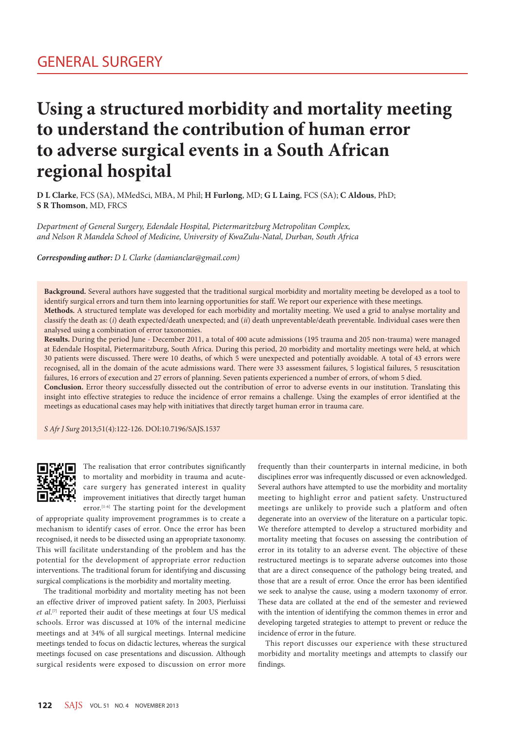# **Using a structured morbidity and mortality meeting to understand the contribution of human error to adverse surgical events in a South African regional hospital**

**D L Clarke**, FCS (SA), MMedSci, MBA, M Phil; **H Furlong**, MD; **G L Laing**, FCS (SA); **C Aldous**, PhD; **S R Thomson**, MD, FRCS

*Department of General Surgery, Edendale Hospital, Pietermaritzburg Metropolitan Complex, and Nelson R Mandela School of Medicine, University of KwaZulu-Natal, Durban, South Africa*

*Corresponding author: D L Clarke (damianclar@gmail.com)*

**Background.** Several authors have suggested that the traditional surgical morbidity and mortality meeting be developed as a tool to identify surgical errors and turn them into learning opportunities for staff. We report our experience with these meetings. **Methods.** A structured template was developed for each morbidity and mortality meeting. We used a grid to analyse mortality and classify the death as: (*i*) death expected/death unexpected; and (*ii*) death unpreventable/death preventable. Individual cases were then analysed using a combination of error taxonomies.

**Results.** During the period June - December 2011, a total of 400 acute admissions (195 trauma and 205 non-trauma) were managed at Edendale Hospital, Pietermaritzburg, South Africa. During this period, 20 morbidity and mortality meetings were held, at which 30 patients were discussed. There were 10 deaths, of which 5 were unexpected and potentially avoidable. A total of 43 errors were recognised, all in the domain of the acute admissions ward. There were 33 assessment failures, 5 logistical failures, 5 resuscitation failures, 16 errors of execution and 27 errors of planning. Seven patients experienced a number of errors, of whom 5 died.

**Conclusion.** Error theory successfully dissected out the contribution of error to adverse events in our institution. Translating this insight into effective strategies to reduce the incidence of error remains a challenge. Using the examples of error identified at the meetings as educational cases may help with initiatives that directly target human error in trauma care.

*S Afr J Surg* 2013;51(4):122-126. DOI:10.7196/SAJS.1537



The realisation that error contributes significantly to mortality and morbidity in trauma and acutecare surgery has generated interest in quality improvement initiatives that directly target human error.<sup>[1-6]</sup> The starting point for the development

of appropriate quality improvement programmes is to create a mechanism to identify cases of error. Once the error has been recognised, it needs to be dissected using an appropriate taxonomy. This will facilitate understanding of the problem and has the potential for the development of appropriate error reduction interventions. The traditional forum for identifying and discussing surgical complications is the morbidity and mortality meeting.

The traditional morbidity and mortality meeting has not been an effective driver of improved patient safety. In 2003, Pierluissi *et al*. [7] reported their audit of these meetings at four US medical schools. Error was discussed at 10% of the internal medicine meetings and at 34% of all surgical meetings. Internal medicine meetings tended to focus on didactic lectures, whereas the surgical meetings focused on case presentations and discussion. Although surgical residents were exposed to discussion on error more

frequently than their counterparts in internal medicine, in both disciplines error was infrequently discussed or even acknowledged. Several authors have attempted to use the morbidity and mortality meeting to highlight error and patient safety. Unstructured meetings are unlikely to provide such a platform and often degenerate into an overview of the literature on a particular topic. We therefore attempted to develop a structured morbidity and mortality meeting that focuses on assessing the contribution of error in its totality to an adverse event. The objective of these restructured meetings is to separate adverse outcomes into those that are a direct consequence of the pathology being treated, and those that are a result of error. Once the error has been identified we seek to analyse the cause, using a modern taxonomy of error. These data are collated at the end of the semester and reviewed with the intention of identifying the common themes in error and developing targeted strategies to attempt to prevent or reduce the incidence of error in the future.

This report discusses our experience with these structured morbidity and mortality meetings and attempts to classify our findings.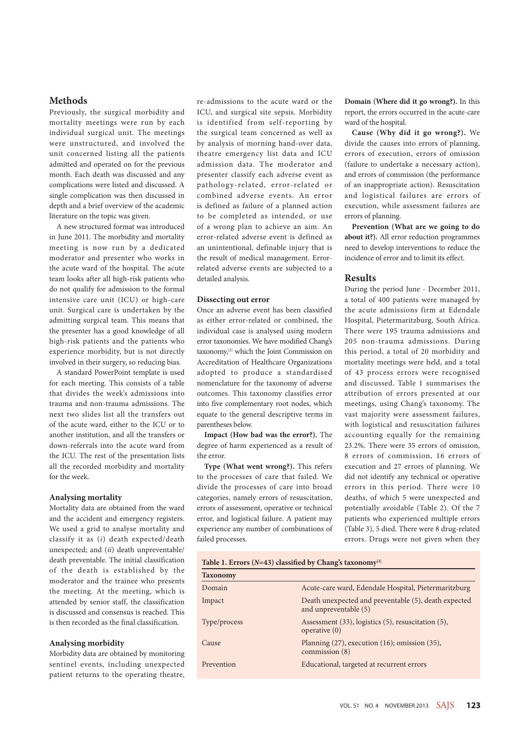# **Methods**

Previously, the surgical morbidity and mortality meetings were run by each individual surgical unit. The meetings were unstructured, and involved the unit concerned listing all the patients admitted and operated on for the previous month. Each death was discussed and any complications were listed and discussed. A single complication was then discussed in depth and a brief overview of the academic literature on the topic was given.

A new structured format was introduced in June 2011. The morbidity and mortality meeting is now run by a dedicated moderator and presenter who works in the acute ward of the hospital. The acute team looks after all high-risk patients who do not qualify for admission to the formal intensive care unit (ICU) or high-care unit. Surgical care is undertaken by the admitting surgical team. This means that the presenter has a good knowledge of all high-risk patients and the patients who experience morbidity, but is not directly involved in their surgery, so reducing bias.

A standard PowerPoint template is used for each meeting. This consists of a table that divides the week's admissions into trauma and non-trauma admissions. The next two slides list all the transfers out of the acute ward, either to the ICU or to another institution, and all the transfers or down-referrals into the acute ward from the ICU. The rest of the presentation lists all the recorded morbidity and mortality for the week.

#### **Analysing mortality**

Mortality data are obtained from the ward and the accident and emergency registers. We used a grid to analyse mortality and classify it as (*i*) death expected/death unexpected; and (*ii*) death unpreventable/ death preventable. The initial classification of the death is established by the moderator and the trainee who presents the meeting. At the meeting, which is attended by senior staff, the classification is discussed and consensus is reached. This is then recorded as the final classification.

## **Analysing morbidity**

Morbidity data are obtained by monitoring sentinel events, including unexpected patient returns to the operating theatre, re-admissions to the acute ward or the ICU, and surgical site sepsis. Morbidity is identified from self-reporting by the surgical team concerned as well as by analysis of morning hand-over data, theatre emergency list data and ICU admission data. The moderator and presenter classify each adverse event as pathology-related, error-related or combined adverse events. An error is defined as failure of a planned action to be completed as intended, or use of a wrong plan to achieve an aim. An error-related adverse event is defined as an unintentional, definable injury that is the result of medical management. Errorrelated adverse events are subjected to a detailed analysis.

#### **Dissecting out error**

Once an adverse event has been classified as either error-related or combined, the individual case is analysed using modern error taxonomies. We have modified Chang's taxonomy,[2] which the Joint Commission on Accreditation of Healthcare Organizations adopted to produce a standardised nomenclature for the taxonomy of adverse outcomes. This taxonomy classifies error into five complementary root nodes, which equate to the general descriptive terms in parentheses below.

**Impact (How bad was the error?).** The degree of harm experienced as a result of the error.

**Type (What went wrong?).** This refers to the processes of care that failed. We divide the processes of care into broad categories, namely errors of resuscitation, errors of assessment, operative or technical error, and logistical failure. A patient may experience any number of combinations of failed processes.

**Domain (Where did it go wrong?).** In this report, the errors occurred in the acute-care ward of the hospital.

**Cause (Why did it go wrong?).** We divide the causes into errors of planning, errors of execution, errors of omission (failure to undertake a necessary action), and errors of commission (the performance of an inappropriate action). Resuscitation and logistical failures are errors of execution, while assessment failures are errors of planning.

**Prevention (What are we going to do about it?).** All error reduction programmes need to develop interventions to reduce the incidence of error and to limit its effect.

#### **Results**

During the period June - December 2011, a total of 400 patients were managed by the acute admissions firm at Edendale Hospital, Pietermaritzburg, South Africa. There were 195 trauma admissions and 205 non-trauma admissions. During this period, a total of 20 morbidity and mortality meetings were held, and a total of 43 process errors were recognised and discussed. Table 1 summarises the attribution of errors presented at our meetings, using Chang's taxonomy. The vast majority were assessment failures, with logistical and resuscitation failures accounting equally for the remaining 23.2%. There were 35 errors of omission, 8 errors of commission, 16 errors of execution and 27 errors of planning. We did not identify any technical or operative errors in this period. There were 10 deaths, of which 5 were unexpected and potentially avoidable (Table 2). Of the 7 patients who experienced multiple errors (Table 3), 5 died. There were 8 drug-related errors. Drugs were not given when they

| Table 1. Errors ( $N=43$ ) classified by Chang's taxonomy <sup>[2]</sup> |                                                                                |  |  |  |
|--------------------------------------------------------------------------|--------------------------------------------------------------------------------|--|--|--|
| <b>Taxonomy</b>                                                          |                                                                                |  |  |  |
| Domain                                                                   | Acute-care ward, Edendale Hospital, Pietermaritzburg                           |  |  |  |
| Impact                                                                   | Death unexpected and preventable (5), death expected<br>and unpreventable (5)  |  |  |  |
| Type/process                                                             | Assessment $(33)$ , logistics $(5)$ , resuscitation $(5)$ ,<br>operative $(0)$ |  |  |  |
| Cause                                                                    | Planning $(27)$ , execution $(16)$ ; omission $(35)$ ,<br>commission $(8)$     |  |  |  |
| Prevention                                                               | Educational, targeted at recurrent errors                                      |  |  |  |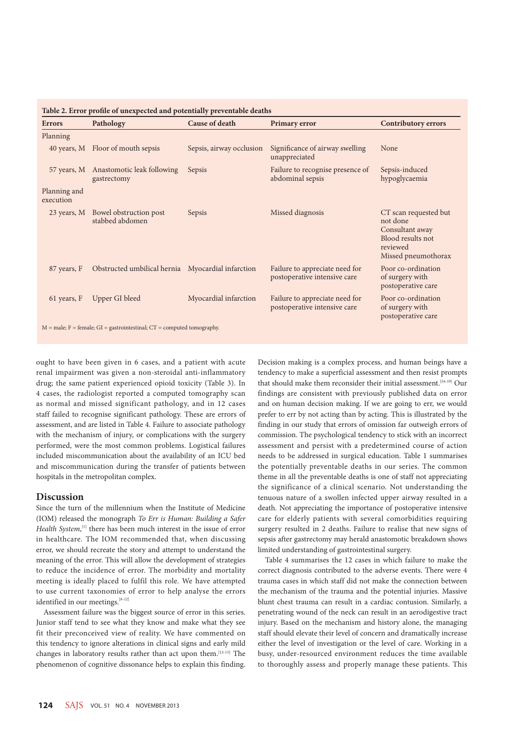| <b>Errors</b>             | Pathology                                             | Cause of death           | Primary error                                                  | <b>Contributory errors</b>                                                                                   |
|---------------------------|-------------------------------------------------------|--------------------------|----------------------------------------------------------------|--------------------------------------------------------------------------------------------------------------|
| Planning                  |                                                       |                          |                                                                |                                                                                                              |
|                           | 40 years, M Floor of mouth sepsis                     | Sepsis, airway occlusion | Significance of airway swelling<br>unappreciated               | None                                                                                                         |
| 57 years, M               | Anastomotic leak following<br>gastrectomy             | Sepsis                   | Failure to recognise presence of<br>abdominal sepsis           | Sepsis-induced<br>hypoglycaemia                                                                              |
| Planning and<br>execution |                                                       |                          |                                                                |                                                                                                              |
|                           | 23 years, M Bowel obstruction post<br>stabbed abdomen | Sepsis                   | Missed diagnosis                                               | CT scan requested but<br>not done<br>Consultant away<br>Blood results not<br>reviewed<br>Missed pneumothorax |
| 87 years, F               | Obstructed umbilical hernia Myocardial infarction     |                          | Failure to appreciate need for<br>postoperative intensive care | Poor co-ordination<br>of surgery with<br>postoperative care                                                  |
| 61 years, F               | Upper GI bleed                                        | Myocardial infarction    | Failure to appreciate need for<br>postoperative intensive care | Poor co-ordination<br>of surgery with<br>postoperative care                                                  |

**Table 2. Error profile of unexpected and potentially preventable deaths**

ought to have been given in 6 cases, and a patient with acute renal impairment was given a non-steroidal anti-inflammatory drug; the same patient experienced opioid toxicity (Table 3). In 4 cases, the radiologist reported a computed tomography scan as normal and missed significant pathology, and in 12 cases staff failed to recognise significant pathology. These are errors of assessment, and are listed in Table 4. Failure to associate pathology with the mechanism of injury, or complications with the surgery performed, were the most common problems. Logistical failures included miscommunication about the availability of an ICU bed and miscommunication during the transfer of patients between hospitals in the metropolitan complex.

### **Discussion**

Since the turn of the millennium when the Institute of Medicine (IOM) released the monograph *To Err is Human: Building a Safer*  Health System,<sup>[1]</sup> there has been much interest in the issue of error in healthcare. The IOM recommended that, when discussing error, we should recreate the story and attempt to understand the meaning of the error. This will allow the development of strategies to reduce the incidence of error. The morbidity and mortality meeting is ideally placed to fulfil this role. We have attempted to use current taxonomies of error to help analyse the errors identified in our meetings.<sup>[8-12]</sup>

Assessment failure was the biggest source of error in this series. Junior staff tend to see what they know and make what they see fit their preconceived view of reality. We have commented on this tendency to ignore alterations in clinical signs and early mild changes in laboratory results rather than act upon them.[13-15] The phenomenon of cognitive dissonance helps to explain this finding.

Decision making is a complex process, and human beings have a tendency to make a superficial assessment and then resist prompts that should make them reconsider their initial assessment.<sup>[16-19]</sup> Our findings are consistent with previously published data on error and on human decision making. If we are going to err, we would prefer to err by not acting than by acting. This is illustrated by the finding in our study that errors of omission far outweigh errors of commission. The psychological tendency to stick with an incorrect assessment and persist with a predetermined course of action needs to be addressed in surgical education. Table 1 summarises the potentially preventable deaths in our series. The common theme in all the preventable deaths is one of staff not appreciating the significance of a clinical scenario. Not understanding the tenuous nature of a swollen infected upper airway resulted in a death. Not appreciating the importance of postoperative intensive care for elderly patients with several comorbidities requiring surgery resulted in 2 deaths. Failure to realise that new signs of sepsis after gastrectomy may herald anastomotic breakdown shows limited understanding of gastrointestinal surgery.

Table 4 summarises the 12 cases in which failure to make the correct diagnosis contributed to the adverse events. There were 4 trauma cases in which staff did not make the connection between the mechanism of the trauma and the potential injuries. Massive blunt chest trauma can result in a cardiac contusion. Similarly, a penetrating wound of the neck can result in an aerodigestive tract injury. Based on the mechanism and history alone, the managing staff should elevate their level of concern and dramatically increase either the level of investigation or the level of care. Working in a busy, under-resourced environment reduces the time available to thoroughly assess and properly manage these patients. This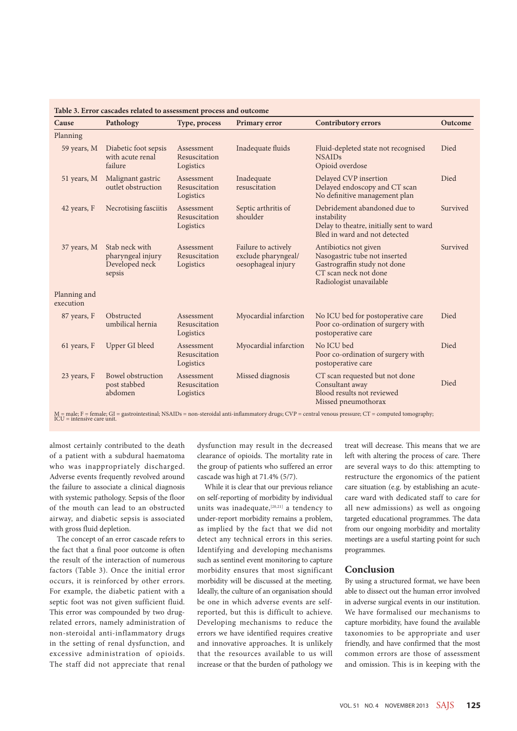| Cause                     | Pathology                                                       | Type, process                            | Primary error                                                    | <b>Contributory errors</b>                                                                                                                 | Outcome  |
|---------------------------|-----------------------------------------------------------------|------------------------------------------|------------------------------------------------------------------|--------------------------------------------------------------------------------------------------------------------------------------------|----------|
| Planning                  |                                                                 |                                          |                                                                  |                                                                                                                                            |          |
| 59 years, M               | Diabetic foot sepsis<br>with acute renal<br>failure             | Assessment<br>Resuscitation<br>Logistics | Inadequate fluids                                                | Fluid-depleted state not recognised<br><b>NSAIDs</b><br>Opioid overdose                                                                    | Died     |
| 51 years, M               | Malignant gastric<br>outlet obstruction                         | Assessment<br>Resuscitation<br>Logistics | Inadequate<br>resuscitation                                      | Delayed CVP insertion<br>Delayed endoscopy and CT scan<br>No definitive management plan                                                    | Died     |
| 42 years, F               | Necrotising fasciitis                                           | Assessment<br>Resuscitation<br>Logistics | Septic arthritis of<br>shoulder                                  | Debridement abandoned due to<br>instability<br>Delay to theatre, initially sent to ward<br>Bled in ward and not detected                   | Survived |
| 37 years, M               | Stab neck with<br>pharyngeal injury<br>Developed neck<br>sepsis | Assessment<br>Resuscitation<br>Logistics | Failure to actively<br>exclude pharyngeal/<br>oesophageal injury | Antibiotics not given<br>Nasogastric tube not inserted<br>Gastrograffin study not done<br>CT scan neck not done<br>Radiologist unavailable | Survived |
| Planning and<br>execution |                                                                 |                                          |                                                                  |                                                                                                                                            |          |
| 87 years, F               | Obstructed<br>umbilical hernia                                  | Assessment<br>Resuscitation<br>Logistics | Myocardial infarction                                            | No ICU bed for postoperative care<br>Poor co-ordination of surgery with<br>postoperative care                                              | Died     |
| 61 years, F               | Upper GI bleed                                                  | Assessment<br>Resuscitation<br>Logistics | Myocardial infarction                                            | No ICU bed<br>Poor co-ordination of surgery with<br>postoperative care                                                                     | Died     |
| 23 years, F               | <b>Bowel</b> obstruction<br>post stabbed<br>abdomen             | Assessment<br>Resuscitation<br>Logistics | Missed diagnosis                                                 | CT scan requested but not done<br>Consultant away<br>Blood results not reviewed<br>Missed pneumothorax                                     | Died     |

M = male; F = female; GI = gastrointestinal; NSAIDs = non-steroidal anti-inflammatory drugs; CVP = central venous pressure; CT = computed tomography; ICU = intensive care unit.

almost certainly contributed to the death of a patient with a subdural haematoma who was inappropriately discharged. Adverse events frequently revolved around the failure to associate a clinical diagnosis with systemic pathology. Sepsis of the floor of the mouth can lead to an obstructed airway, and diabetic sepsis is associated with gross fluid depletion.

The concept of an error cascade refers to the fact that a final poor outcome is often the result of the interaction of numerous factors (Table 3). Once the initial error occurs, it is reinforced by other errors. For example, the diabetic patient with a septic foot was not given sufficient fluid. This error was compounded by two drugrelated errors, namely administration of non-steroidal anti-inflammatory drugs in the setting of renal dysfunction, and excessive administration of opioids. The staff did not appreciate that renal

dysfunction may result in the decreased clearance of opioids. The mortality rate in the group of patients who suffered an error cascade was high at 71.4% (5/7).

While it is clear that our previous reliance on self-reporting of morbidity by individual units was inadequate, $[20,21]$  a tendency to under-report morbidity remains a problem, as implied by the fact that we did not detect any technical errors in this series. Identifying and developing mechanisms such as sentinel event monitoring to capture morbidity ensures that most significant morbidity will be discussed at the meeting. Ideally, the culture of an organisation should be one in which adverse events are selfreported, but this is difficult to achieve. Developing mechanisms to reduce the errors we have identified requires creative and innovative approaches. It is unlikely that the resources available to us will increase or that the burden of pathology we

treat will decrease. This means that we are left with altering the process of care. There are several ways to do this: attempting to restructure the ergonomics of the patient care situation (e.g. by establishing an acutecare ward with dedicated staff to care for all new admissions) as well as ongoing targeted educational programmes. The data from our ongoing morbidity and mortality meetings are a useful starting point for such programmes.

## **Conclusion**

By using a structured format, we have been able to dissect out the human error involved in adverse surgical events in our institution. We have formalised our mechanisms to capture morbidity, have found the available taxonomies to be appropriate and user friendly, and have confirmed that the most common errors are those of assessment and omission. This is in keeping with the